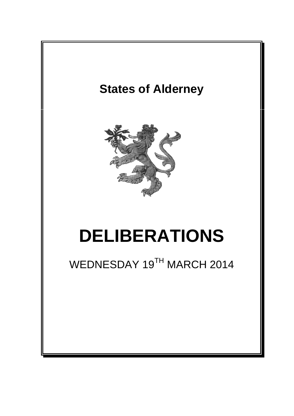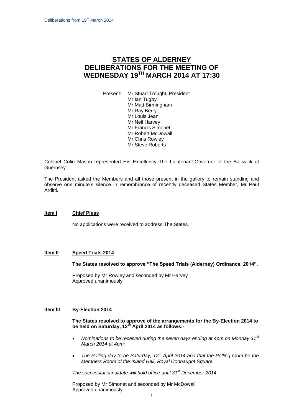# **STATES OF ALDERNEY DELIBERATIONS FOR THE MEETING OF WEDNESDAY 19 TH MARCH 2014 AT 17:30**

Present: Mr Stuart Trought, President Mr Ian Tugby Mr Matt Birmingham Mr Ray Berry Mr Louis Jean Mr Neil Harvey Mr Francis Simonet Mr Robert McDowall Mr Chris Rowley Mr Steve Roberts

Colonel Colin Mason represented His Excellency The Lieutenant-Governor of the Bailiwick of Guernsey.

The President asked the Members and all those present in the gallery to remain standing and observe one minute's silence in remembrance of recently deceased States Member, Mr Paul Arditti.

# **Item l Chief Pleas**

No applications were received to address The States.

#### **Item lI Speed Trials 2014**

**The States resolved to approve "The Speed Trials (Alderney) Ordinance, 2014".**

Proposed by Mr Rowley and seconded by Mr Harvey Approved unanimously

#### **Item lII By-Election 2014**

**The States resolved to approve of the arrangements for the By-Election 2014 to be held on Saturday, 12th April 2014 as follows:-**

- *Nominations to be received during the seven days ending at 4pm on Monday 31st March 2014 at 4pm;*
- *The Polling day to be Saturday, 12th April 2014 and that the Polling room be the Members Room of the Island Hall, Royal Connaught Square.*

*The successful candidate will hold office until 31 st December 2014.*

Proposed by Mr Simonet and seconded by Mr McDowall Approved unanimously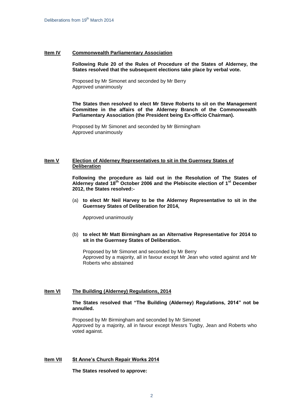#### **Item IV Commonwealth Parliamentary Association**

#### **Following Rule 20 of the Rules of Procedure of the States of Alderney, the States resolved that the subsequent elections take place by verbal vote.**

Proposed by Mr Simonet and seconded by Mr Berry Approved unanimously

**The States then resolved to elect Mr Steve Roberts to sit on the Management Committee in the affairs of the Alderney Branch of the Commonwealth Parliamentary Association (the President being Ex-officio Chairman).** 

Proposed by Mr Simonet and seconded by Mr Birmingham Approved unanimously

### **Item V Election of Alderney Representatives to sit in the Guernsey States of Deliberation**

**Following the procedure as laid out in the Resolution of The States of Alderney dated 18th October 2006 and the Plebiscite election of 1st December 2012, the States resolved:-**

(a) **to elect Mr Neil Harvey to be the Alderney Representative to sit in the Guernsey States of Deliberation for 2014,**

Approved unanimously

(b) **to elect Mr Matt Birmingham as an Alternative Representative for 2014 to sit in the Guernsey States of Deliberation.**

Proposed by Mr Simonet and seconded by Mr Berry Approved by a majority, all in favour except Mr Jean who voted against and Mr Roberts who abstained

#### **Item VI The Building (Alderney) Regulations, 2014**

**The States resolved that "The Building (Alderney) Regulations, 2014" not be annulled.**

Proposed by Mr Birmingham and seconded by Mr Simonet Approved by a majority, all in favour except Messrs Tugby, Jean and Roberts who voted against.

# **Item VII St Anne's Church Repair Works 2014**

**The States resolved to approve:**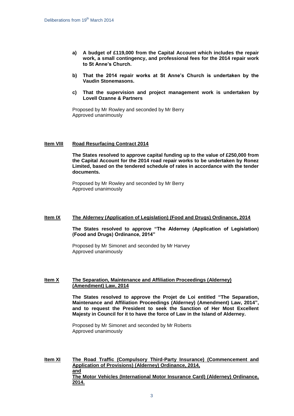- **a) A budget of £119,000 from the Capital Account which includes the repair work, a small contingency, and professional fees for the 2014 repair work to St Anne's Church.**
- **b) That the 2014 repair works at St Anne's Church is undertaken by the Vaudin Stonemasons.**
- **c) That the supervision and project management work is undertaken by Lovell Ozanne & Partners**

Proposed by Mr Rowley and seconded by Mr Berry Approved unanimously

#### **Item VIII Road Resurfacing Contract 2014**

**The States resolved to approve capital funding up to the value of £250,000 from the Capital Account for the 2014 road repair works to be undertaken by Ronez Limited, based on the tendered schedule of rates in accordance with the tender documents.** 

Proposed by Mr Rowley and seconded by Mr Berry Approved unanimously

#### **Item IX The Alderney (Application of Legislation) (Food and Drugs) Ordinance, 2014**

**The States resolved to approve "The Alderney (Application of Legislation) (Food and Drugs) Ordinance, 2014"**

Proposed by Mr Simonet and seconded by Mr Harvey Approved unanimously

#### **Item X The Separation, Maintenance and Affiliation Proceedings (Alderney) (Amendment) Law, 2014**

**The States resolved to approve the Projet de Loi entitled "The Separation, Maintenance and Affiliation Proceedings (Alderney) (Amendment) Law, 2014", and to request the President to seek the Sanction of Her Most Excellent Majesty in Council for it to have the force of Law in the Island of Alderney.**

Proposed by Mr Simonet and seconded by Mr Roberts Approved unanimously

**Item XI The Road Traffic (Compulsory Third-Party Insurance) (Commencement and Application of Provisions) (Alderney) Ordinance, 2014, and The Motor Vehicles (International Motor Insurance Card) (Alderney) Ordinance, 2014.**